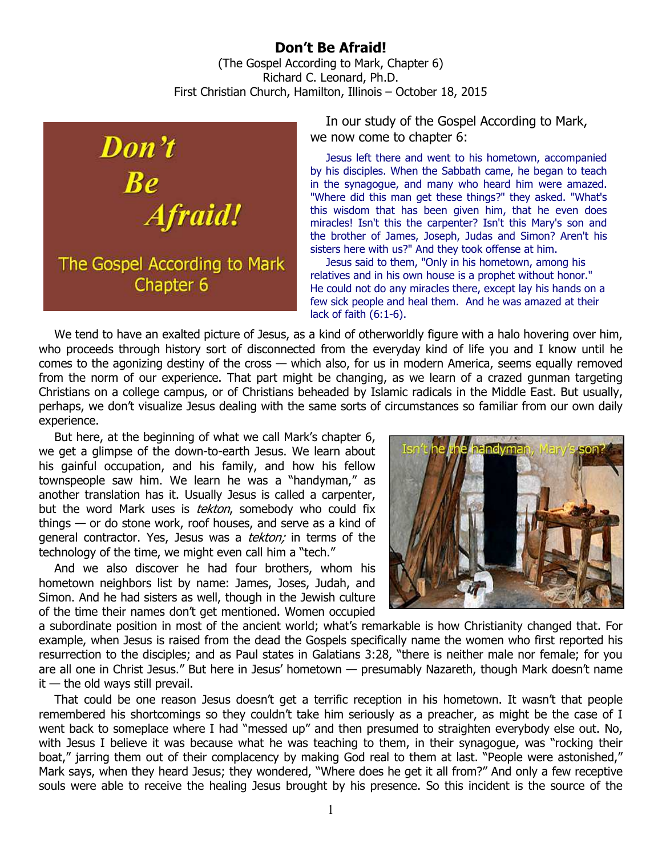**Don't Be Afraid!**  (The Gospel According to Mark, Chapter 6) Richard C. Leonard, Ph.D. First Christian Church, Hamilton, Illinois – October 18, 2015



In our study of the Gospel According to Mark, we now come to chapter 6:

Jesus left there and went to his hometown, accompanied by his disciples. When the Sabbath came, he began to teach in the synagogue, and many who heard him were amazed. "Where did this man get these things?" they asked. "What's this wisdom that has been given him, that he even does miracles! Isn't this the carpenter? Isn't this Mary's son and the brother of James, Joseph, Judas and Simon? Aren't his sisters here with us?" And they took offense at him.

Jesus said to them, "Only in his hometown, among his relatives and in his own house is a prophet without honor." He could not do any miracles there, except lay his hands on a few sick people and heal them. And he was amazed at their lack of faith (6:1-6).

We tend to have an exalted picture of Jesus, as a kind of otherworldly figure with a halo hovering over him, who proceeds through history sort of disconnected from the everyday kind of life you and I know until he comes to the agonizing destiny of the cross — which also, for us in modern America, seems equally removed from the norm of our experience. That part might be changing, as we learn of a crazed gunman targeting Christians on a college campus, or of Christians beheaded by Islamic radicals in the Middle East. But usually, perhaps, we don't visualize Jesus dealing with the same sorts of circumstances so familiar from our own daily experience.

But here, at the beginning of what we call Mark's chapter 6, we get a glimpse of the down-to-earth Jesus. We learn about his gainful occupation, and his family, and how his fellow townspeople saw him. We learn he was a "handyman," as another translation has it. Usually Jesus is called a carpenter, but the word Mark uses is *tekton*, somebody who could fix things — or do stone work, roof houses, and serve as a kind of general contractor. Yes, Jesus was a *tekton;* in terms of the technology of the time, we might even call him a "tech."

And we also discover he had four brothers, whom his hometown neighbors list by name: James, Joses, Judah, and Simon. And he had sisters as well, though in the Jewish culture of the time their names don't get mentioned. Women occupied



a subordinate position in most of the ancient world; what's remarkable is how Christianity changed that. For example, when Jesus is raised from the dead the Gospels specifically name the women who first reported his resurrection to the disciples; and as Paul states in Galatians 3:28, "there is neither male nor female; for you are all one in Christ Jesus." But here in Jesus' hometown — presumably Nazareth, though Mark doesn't name  $it$  — the old ways still prevail.

That could be one reason Jesus doesn't get a terrific reception in his hometown. It wasn't that people remembered his shortcomings so they couldn't take him seriously as a preacher, as might be the case of I went back to someplace where I had "messed up" and then presumed to straighten everybody else out. No, with Jesus I believe it was because what he was teaching to them, in their synagogue, was "rocking their boat," jarring them out of their complacency by making God real to them at last. "People were astonished," Mark says, when they heard Jesus; they wondered, "Where does he get it all from?" And only a few receptive souls were able to receive the healing Jesus brought by his presence. So this incident is the source of the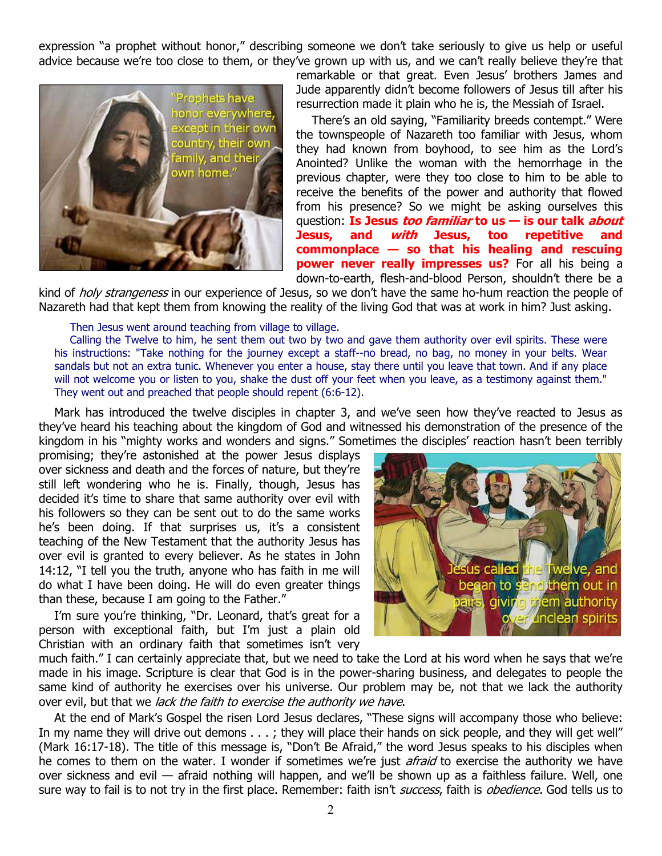expression "a prophet without honor," describing someone we don't take seriously to give us help or useful advice because we're too close to them, or they've grown up with us, and we can't really believe they're that



remarkable or that great. Even Jesus' brothers James and Jude apparently didn't become followers of Jesus till after his resurrection made it plain who he is, the Messiah of Israel.

There's an old saying, "Familiarity breeds contempt." Were the townspeople of Nazareth too familiar with Jesus, whom they had known from boyhood, to see him as the Lord's Anointed? Unlike the woman with the hemorrhage in the previous chapter, were they too close to him to be able to receive the benefits of the power and authority that flowed from his presence? So we might be asking ourselves this question: **Is Jesus too familiar to us — is our talk about Jesus, and with Jesus, too repetitive and commonplace — so that his healing and rescuing power never really impresses us?** For all his being a down-to-earth, flesh-and-blood Person, shouldn't there be a

kind of *holy strangeness* in our experience of Jesus, so we don't have the same ho-hum reaction the people of Nazareth had that kept them from knowing the reality of the living God that was at work in him? Just asking.

Then Jesus went around teaching from village to village.

Calling the Twelve to him, he sent them out two by two and gave them authority over evil spirits. These were his instructions: "Take nothing for the journey except a staff--no bread, no bag, no money in your belts. Wear sandals but not an extra tunic. Whenever you enter a house, stay there until you leave that town. And if any place will not welcome you or listen to you, shake the dust off your feet when you leave, as a testimony against them." They went out and preached that people should repent (6:6-12).

Mark has introduced the twelve disciples in chapter 3, and we've seen how they've reacted to Jesus as they've heard his teaching about the kingdom of God and witnessed his demonstration of the presence of the kingdom in his "mighty works and wonders and signs." Sometimes the disciples' reaction hasn't been terribly

promising; they're astonished at the power Jesus displays over sickness and death and the forces of nature, but they're still left wondering who he is. Finally, though, Jesus has decided it's time to share that same authority over evil with his followers so they can be sent out to do the same works he's been doing. If that surprises us, it's a consistent teaching of the New Testament that the authority Jesus has over evil is granted to every believer. As he states in John 14:12, "I tell you the truth, anyone who has faith in me will do what I have been doing. He will do even greater things than these, because I am going to the Father."

I'm sure you're thinking, "Dr. Leonard, that's great for a person with exceptional faith, but I'm just a plain old Christian with an ordinary faith that sometimes isn't very



much faith." I can certainly appreciate that, but we need to take the Lord at his word when he says that we're made in his image. Scripture is clear that God is in the power-sharing business, and delegates to people the same kind of authority he exercises over his universe. Our problem may be, not that we lack the authority over evil, but that we lack the faith to exercise the authority we have.

At the end of Mark's Gospel the risen Lord Jesus declares, "These signs will accompany those who believe: In my name they will drive out demons . . . ; they will place their hands on sick people, and they will get well" (Mark 16:17-18). The title of this message is, "Don't Be Afraid," the word Jesus speaks to his disciples when he comes to them on the water. I wonder if sometimes we're just *afraid* to exercise the authority we have over sickness and evil — afraid nothing will happen, and we'll be shown up as a faithless failure. Well, one sure way to fail is to not try in the first place. Remember: faith isn't success, faith is *obedience*. God tells us to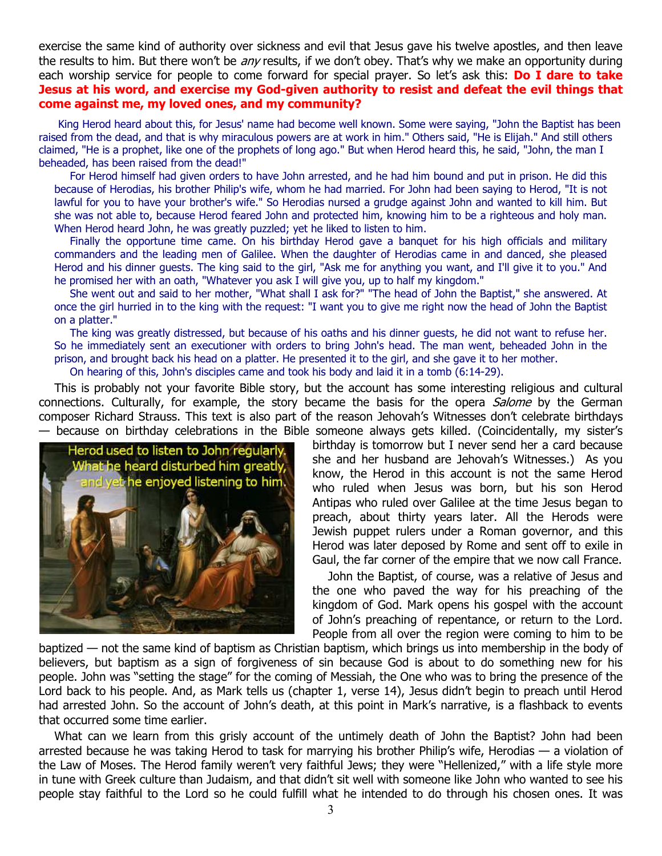exercise the same kind of authority over sickness and evil that Jesus gave his twelve apostles, and then leave the results to him. But there won't be any results, if we don't obey. That's why we make an opportunity during each worship service for people to come forward for special prayer. So let's ask this: **Do I dare to take Jesus at his word, and exercise my God-given authority to resist and defeat the evil things that come against me, my loved ones, and my community?**

King Herod heard about this, for Jesus' name had become well known. Some were saying, "John the Baptist has been raised from the dead, and that is why miraculous powers are at work in him." Others said, "He is Elijah." And still others claimed, "He is a prophet, like one of the prophets of long ago." But when Herod heard this, he said, "John, the man I beheaded, has been raised from the dead!"

For Herod himself had given orders to have John arrested, and he had him bound and put in prison. He did this because of Herodias, his brother Philip's wife, whom he had married. For John had been saying to Herod, "It is not lawful for you to have your brother's wife." So Herodias nursed a grudge against John and wanted to kill him. But she was not able to, because Herod feared John and protected him, knowing him to be a righteous and holy man. When Herod heard John, he was greatly puzzled; yet he liked to listen to him.

Finally the opportune time came. On his birthday Herod gave a banquet for his high officials and military commanders and the leading men of Galilee. When the daughter of Herodias came in and danced, she pleased Herod and his dinner guests. The king said to the girl, "Ask me for anything you want, and I'll give it to you." And he promised her with an oath, "Whatever you ask I will give you, up to half my kingdom."

She went out and said to her mother, "What shall I ask for?" "The head of John the Baptist," she answered. At once the girl hurried in to the king with the request: "I want you to give me right now the head of John the Baptist on a platter."

The king was greatly distressed, but because of his oaths and his dinner guests, he did not want to refuse her. So he immediately sent an executioner with orders to bring John's head. The man went, beheaded John in the prison, and brought back his head on a platter. He presented it to the girl, and she gave it to her mother.

On hearing of this, John's disciples came and took his body and laid it in a tomb (6:14-29).

This is probably not your favorite Bible story, but the account has some interesting religious and cultural connections. Culturally, for example, the story became the basis for the opera *Salome* by the German composer Richard Strauss. This text is also part of the reason Jehovah's Witnesses don't celebrate birthdays — because on birthday celebrations in the Bible someone always gets killed. (Coincidentally, my sister's



birthday is tomorrow but I never send her a card because she and her husband are Jehovah's Witnesses.) As you know, the Herod in this account is not the same Herod who ruled when Jesus was born, but his son Herod Antipas who ruled over Galilee at the time Jesus began to preach, about thirty years later. All the Herods were Jewish puppet rulers under a Roman governor, and this Herod was later deposed by Rome and sent off to exile in Gaul, the far corner of the empire that we now call France.

John the Baptist, of course, was a relative of Jesus and the one who paved the way for his preaching of the kingdom of God. Mark opens his gospel with the account of John's preaching of repentance, or return to the Lord. People from all over the region were coming to him to be

baptized — not the same kind of baptism as Christian baptism, which brings us into membership in the body of believers, but baptism as a sign of forgiveness of sin because God is about to do something new for his people. John was "setting the stage" for the coming of Messiah, the One who was to bring the presence of the Lord back to his people. And, as Mark tells us (chapter 1, verse 14), Jesus didn't begin to preach until Herod had arrested John. So the account of John's death, at this point in Mark's narrative, is a flashback to events that occurred some time earlier.

What can we learn from this grisly account of the untimely death of John the Baptist? John had been arrested because he was taking Herod to task for marrying his brother Philip's wife, Herodias — a violation of the Law of Moses. The Herod family weren't very faithful Jews; they were "Hellenized," with a life style more in tune with Greek culture than Judaism, and that didn't sit well with someone like John who wanted to see his people stay faithful to the Lord so he could fulfill what he intended to do through his chosen ones. It was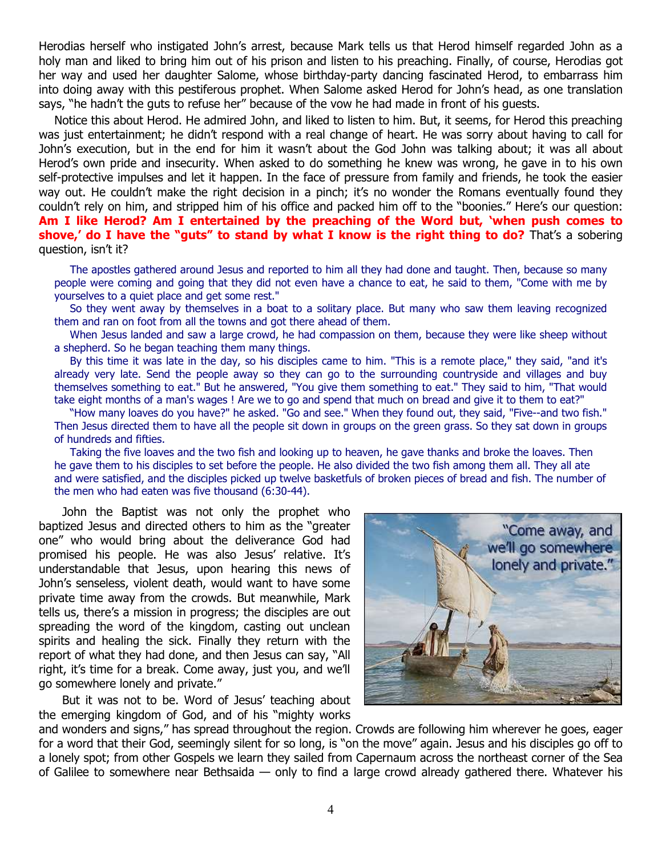Herodias herself who instigated John's arrest, because Mark tells us that Herod himself regarded John as a holy man and liked to bring him out of his prison and listen to his preaching. Finally, of course, Herodias got her way and used her daughter Salome, whose birthday-party dancing fascinated Herod, to embarrass him into doing away with this pestiferous prophet. When Salome asked Herod for John's head, as one translation says, "he hadn't the guts to refuse her" because of the vow he had made in front of his guests.

Notice this about Herod. He admired John, and liked to listen to him. But, it seems, for Herod this preaching was just entertainment; he didn't respond with a real change of heart. He was sorry about having to call for John's execution, but in the end for him it wasn't about the God John was talking about; it was all about Herod's own pride and insecurity. When asked to do something he knew was wrong, he gave in to his own self-protective impulses and let it happen. In the face of pressure from family and friends, he took the easier way out. He couldn't make the right decision in a pinch; it's no wonder the Romans eventually found they couldn't rely on him, and stripped him of his office and packed him off to the "boonies." Here's our question: **Am I like Herod? Am I entertained by the preaching of the Word but, 'when push comes to shove,' do I have the "guts" to stand by what I know is the right thing to do?** That's a sobering question, isn't it?

The apostles gathered around Jesus and reported to him all they had done and taught. Then, because so many people were coming and going that they did not even have a chance to eat, he said to them, "Come with me by yourselves to a quiet place and get some rest."

So they went away by themselves in a boat to a solitary place. But many who saw them leaving recognized them and ran on foot from all the towns and got there ahead of them.

When Jesus landed and saw a large crowd, he had compassion on them, because they were like sheep without a shepherd. So he began teaching them many things.

By this time it was late in the day, so his disciples came to him. "This is a remote place," they said, "and it's already very late. Send the people away so they can go to the surrounding countryside and villages and buy themselves something to eat." But he answered, "You give them something to eat." They said to him, "That would take eight months of a man's wages ! Are we to go and spend that much on bread and give it to them to eat?"

"How many loaves do you have?" he asked. "Go and see." When they found out, they said, "Five--and two fish." Then Jesus directed them to have all the people sit down in groups on the green grass. So they sat down in groups of hundreds and fifties.

Taking the five loaves and the two fish and looking up to heaven, he gave thanks and broke the loaves. Then he gave them to his disciples to set before the people. He also divided the two fish among them all. They all ate and were satisfied, and the disciples picked up twelve basketfuls of broken pieces of bread and fish. The number of the men who had eaten was five thousand (6:30-44).

John the Baptist was not only the prophet who baptized Jesus and directed others to him as the "greater one" who would bring about the deliverance God had promised his people. He was also Jesus' relative. It's understandable that Jesus, upon hearing this news of John's senseless, violent death, would want to have some private time away from the crowds. But meanwhile, Mark tells us, there's a mission in progress; the disciples are out spreading the word of the kingdom, casting out unclean spirits and healing the sick. Finally they return with the report of what they had done, and then Jesus can say, "All right, it's time for a break. Come away, just you, and we'll go somewhere lonely and private."

But it was not to be. Word of Jesus' teaching about the emerging kingdom of God, and of his "mighty works



and wonders and signs," has spread throughout the region. Crowds are following him wherever he goes, eager for a word that their God, seemingly silent for so long, is "on the move" again. Jesus and his disciples go off to a lonely spot; from other Gospels we learn they sailed from Capernaum across the northeast corner of the Sea of Galilee to somewhere near Bethsaida — only to find a large crowd already gathered there. Whatever his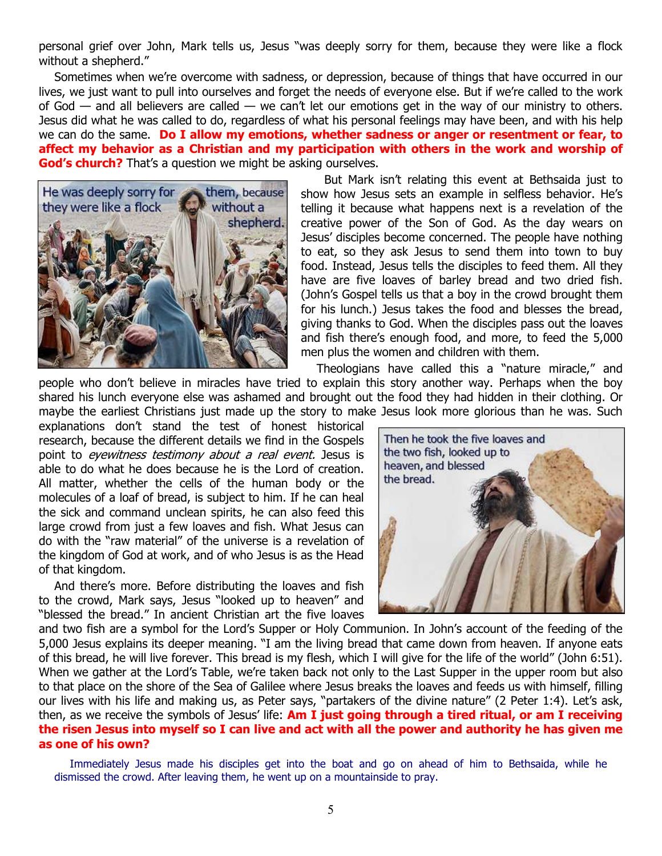personal grief over John, Mark tells us, Jesus "was deeply sorry for them, because they were like a flock without a shepherd."

Sometimes when we're overcome with sadness, or depression, because of things that have occurred in our lives, we just want to pull into ourselves and forget the needs of everyone else. But if we're called to the work of God — and all believers are called — we can't let our emotions get in the way of our ministry to others. Jesus did what he was called to do, regardless of what his personal feelings may have been, and with his help we can do the same. **Do I allow my emotions, whether sadness or anger or resentment or fear, to affect my behavior as a Christian and my participation with others in the work and worship of God's church?** That's a question we might be asking ourselves.



But Mark isn't relating this event at Bethsaida just to show how Jesus sets an example in selfless behavior. He's telling it because what happens next is a revelation of the creative power of the Son of God. As the day wears on Jesus' disciples become concerned. The people have nothing to eat, so they ask Jesus to send them into town to buy food. Instead, Jesus tells the disciples to feed them. All they have are five loaves of barley bread and two dried fish. (John's Gospel tells us that a boy in the crowd brought them for his lunch.) Jesus takes the food and blesses the bread, giving thanks to God. When the disciples pass out the loaves and fish there's enough food, and more, to feed the 5,000 men plus the women and children with them.

Theologians have called this a "nature miracle," and people who don't believe in miracles have tried to explain this story another way. Perhaps when the boy shared his lunch everyone else was ashamed and brought out the food they had hidden in their clothing. Or maybe the earliest Christians just made up the story to make Jesus look more glorious than he was. Such

explanations don't stand the test of honest historical research, because the different details we find in the Gospels point to eyewitness testimony about a real event. Jesus is able to do what he does because he is the Lord of creation. All matter, whether the cells of the human body or the molecules of a loaf of bread, is subject to him. If he can heal the sick and command unclean spirits, he can also feed this large crowd from just a few loaves and fish. What Jesus can do with the "raw material" of the universe is a revelation of the kingdom of God at work, and of who Jesus is as the Head of that kingdom.

And there's more. Before distributing the loaves and fish to the crowd, Mark says, Jesus "looked up to heaven" and "blessed the bread." In ancient Christian art the five loaves



and two fish are a symbol for the Lord's Supper or Holy Communion. In John's account of the feeding of the 5,000 Jesus explains its deeper meaning. "I am the living bread that came down from heaven. If anyone eats of this bread, he will live forever. This bread is my flesh, which I will give for the life of the world" (John 6:51). When we gather at the Lord's Table, we're taken back not only to the Last Supper in the upper room but also to that place on the shore of the Sea of Galilee where Jesus breaks the loaves and feeds us with himself, filling our lives with his life and making us, as Peter says, "partakers of the divine nature" (2 Peter 1:4). Let's ask, then, as we receive the symbols of Jesus' life: **Am I just going through a tired ritual, or am I receiving the risen Jesus into myself so I can live and act with all the power and authority he has given me as one of his own?**

Immediately Jesus made his disciples get into the boat and go on ahead of him to Bethsaida, while he dismissed the crowd. After leaving them, he went up on a mountainside to pray.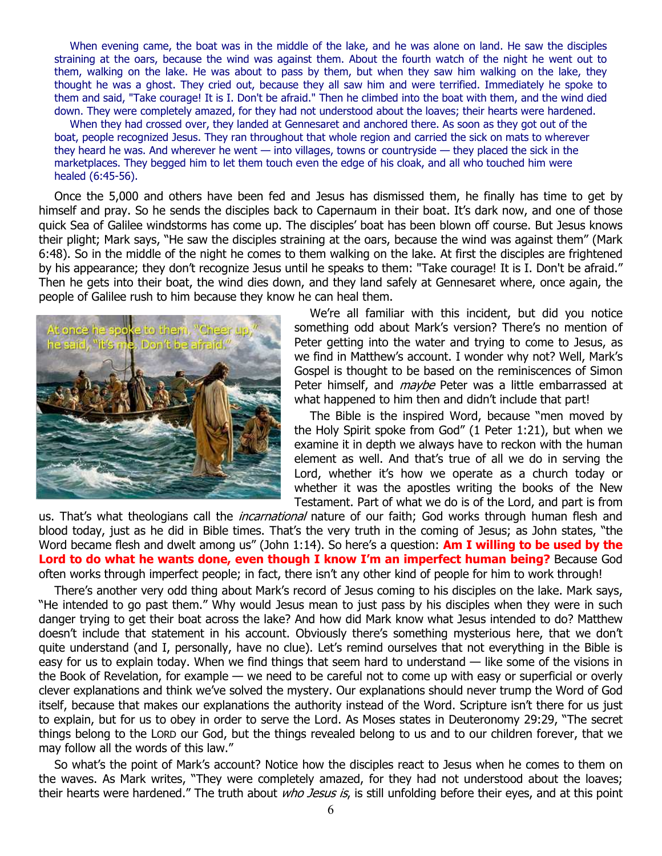When evening came, the boat was in the middle of the lake, and he was alone on land. He saw the disciples straining at the oars, because the wind was against them. About the fourth watch of the night he went out to them, walking on the lake. He was about to pass by them, but when they saw him walking on the lake, they thought he was a ghost. They cried out, because they all saw him and were terrified. Immediately he spoke to them and said, "Take courage! It is I. Don't be afraid." Then he climbed into the boat with them, and the wind died down. They were completely amazed, for they had not understood about the loaves; their hearts were hardened.

When they had crossed over, they landed at Gennesaret and anchored there. As soon as they got out of the boat, people recognized Jesus. They ran throughout that whole region and carried the sick on mats to wherever they heard he was. And wherever he went — into villages, towns or countryside — they placed the sick in the marketplaces. They begged him to let them touch even the edge of his cloak, and all who touched him were healed (6:45-56).

Once the 5,000 and others have been fed and Jesus has dismissed them, he finally has time to get by himself and pray. So he sends the disciples back to Capernaum in their boat. It's dark now, and one of those quick Sea of Galilee windstorms has come up. The disciples' boat has been blown off course. But Jesus knows their plight; Mark says, "He saw the disciples straining at the oars, because the wind was against them" (Mark 6:48). So in the middle of the night he comes to them walking on the lake. At first the disciples are frightened by his appearance; they don't recognize Jesus until he speaks to them: "Take courage! It is I. Don't be afraid." Then he gets into their boat, the wind dies down, and they land safely at Gennesaret where, once again, the people of Galilee rush to him because they know he can heal them.



We're all familiar with this incident, but did you notice something odd about Mark's version? There's no mention of Peter getting into the water and trying to come to Jesus, as we find in Matthew's account. I wonder why not? Well, Mark's Gospel is thought to be based on the reminiscences of Simon Peter himself, and *maybe* Peter was a little embarrassed at what happened to him then and didn't include that part!

The Bible is the inspired Word, because "men moved by the Holy Spirit spoke from God" (1 Peter 1:21), but when we examine it in depth we always have to reckon with the human element as well. And that's true of all we do in serving the Lord, whether it's how we operate as a church today or whether it was the apostles writing the books of the New Testament. Part of what we do is of the Lord, and part is from

us. That's what theologians call the *incarnational* nature of our faith; God works through human flesh and blood today, just as he did in Bible times. That's the very truth in the coming of Jesus; as John states, "the Word became flesh and dwelt among us" (John 1:14). So here's a question: **Am I willing to be used by the Lord to do what he wants done, even though I know I'm an imperfect human being?** Because God often works through imperfect people; in fact, there isn't any other kind of people for him to work through!

There's another very odd thing about Mark's record of Jesus coming to his disciples on the lake. Mark says, "He intended to go past them." Why would Jesus mean to just pass by his disciples when they were in such danger trying to get their boat across the lake? And how did Mark know what Jesus intended to do? Matthew doesn't include that statement in his account. Obviously there's something mysterious here, that we don't quite understand (and I, personally, have no clue). Let's remind ourselves that not everything in the Bible is easy for us to explain today. When we find things that seem hard to understand — like some of the visions in the Book of Revelation, for example — we need to be careful not to come up with easy or superficial or overly clever explanations and think we've solved the mystery. Our explanations should never trump the Word of God itself, because that makes our explanations the authority instead of the Word. Scripture isn't there for us just to explain, but for us to obey in order to serve the Lord. As Moses states in Deuteronomy 29:29, "The secret things belong to the LORD our God, but the things revealed belong to us and to our children forever, that we may follow all the words of this law."

So what's the point of Mark's account? Notice how the disciples react to Jesus when he comes to them on the waves. As Mark writes, "They were completely amazed, for they had not understood about the loaves; their hearts were hardened." The truth about *who Jesus is*, is still unfolding before their eyes, and at this point